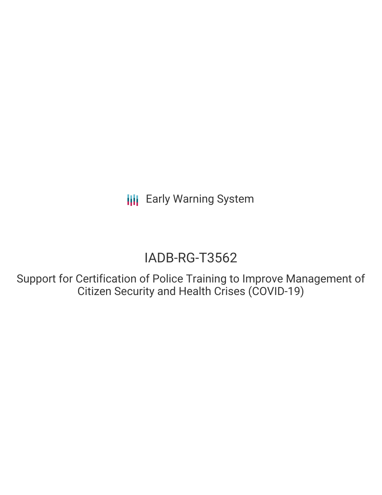**III** Early Warning System

# IADB-RG-T3562

Support for Certification of Police Training to Improve Management of Citizen Security and Health Crises (COVID-19)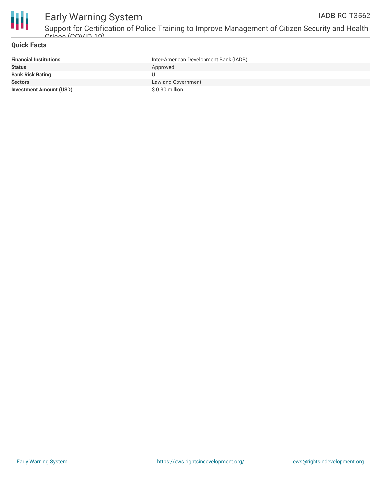

#### Early Warning System Support for Certification of Police Training to Improve Management of Citizen Security and Health IADB-RG-T3562

#### **Quick Facts**

Crisse (COVID-10)

| <b>Financial Institutions</b>  | Inter-American Development Bank (IADB) |
|--------------------------------|----------------------------------------|
| <b>Status</b>                  | Approved                               |
| <b>Bank Risk Rating</b>        |                                        |
| <b>Sectors</b>                 | Law and Government                     |
| <b>Investment Amount (USD)</b> | $$0.30$ million                        |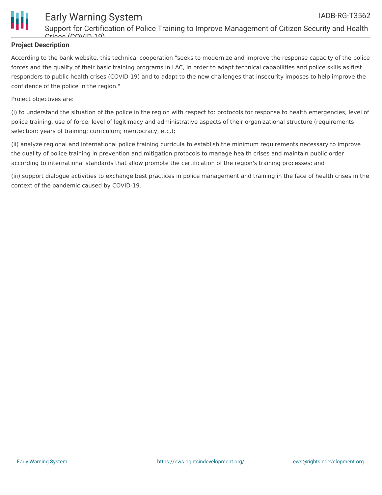

### Early Warning System IADB-RG-T3562

#### **Project Description**

According to the bank website, this technical cooperation "seeks to modernize and improve the response capacity of the police forces and the quality of their basic training programs in LAC, in order to adapt technical capabilities and police skills as first responders to public health crises (COVID-19) and to adapt to the new challenges that insecurity imposes to help improve the confidence of the police in the region."

Project objectives are:

(i) to understand the situation of the police in the region with respect to: protocols for response to health emergencies, level of police training, use of force, level of legitimacy and administrative aspects of their organizational structure (requirements selection; years of training; curriculum; meritocracy, etc.);

(ii) analyze regional and international police training curricula to establish the minimum requirements necessary to improve the quality of police training in prevention and mitigation protocols to manage health crises and maintain public order according to international standards that allow promote the certification of the region's training processes; and

(iii) support dialogue activities to exchange best practices in police management and training in the face of health crises in the context of the pandemic caused by COVID-19.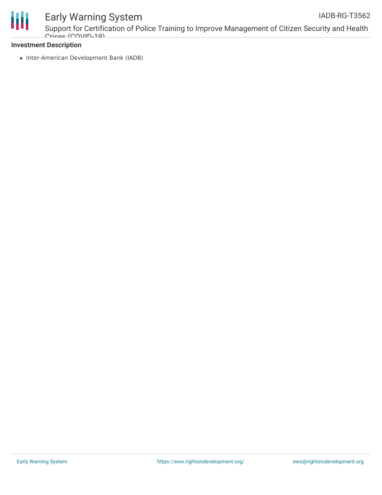

## Early Warning System

Support for Certification of Police Training to Improve Management of Citizen Security and Health Crisse (COVID-10)

#### **Investment Description**

• Inter-American Development Bank (IADB)